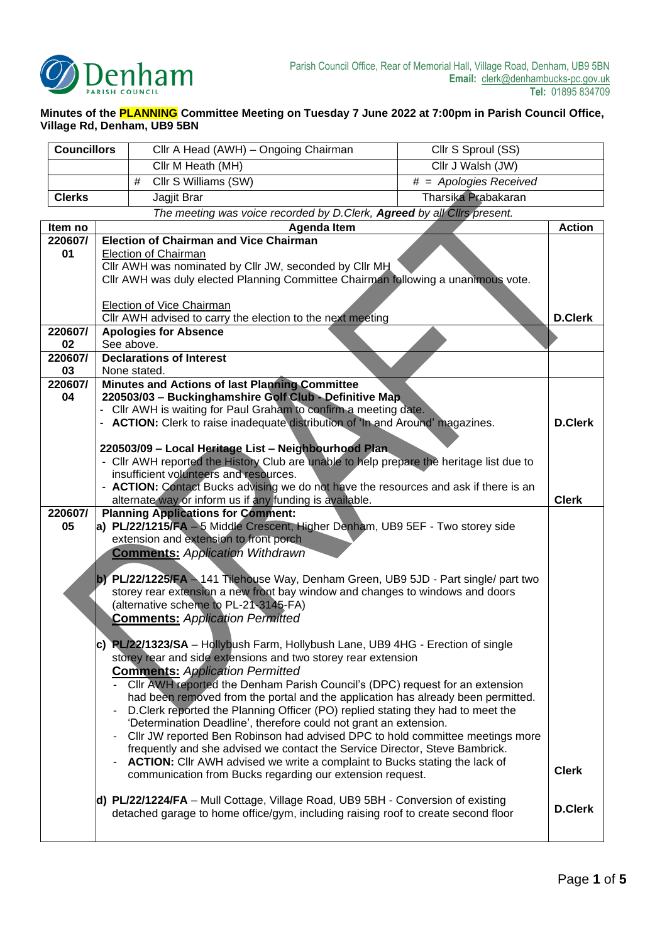

## **Minutes of the PLANNING Committee Meeting on Tuesday 7 June 2022 at 7:00pm in Parish Council Office, Village Rd, Denham, UB9 5BN**

| <b>Councillors</b> |                                                                                                                                             | Cllr A Head (AWH) - Ongoing Chairman                                                                                                                             | Cllr S Sproul (SS)                           |                |
|--------------------|---------------------------------------------------------------------------------------------------------------------------------------------|------------------------------------------------------------------------------------------------------------------------------------------------------------------|----------------------------------------------|----------------|
|                    |                                                                                                                                             | Cllr M Heath (MH)                                                                                                                                                | Cllr J Walsh (JW)                            |                |
|                    |                                                                                                                                             | Cllr S Williams (SW)<br>#                                                                                                                                        | $\overline{\textit{#}}$ = Apologies Received |                |
| <b>Clerks</b>      |                                                                                                                                             | Jagjit Brar                                                                                                                                                      | Tharsika Prabakaran                          |                |
|                    |                                                                                                                                             | The meeting was voice recorded by D.Clerk, Agreed by all Clirs present.                                                                                          |                                              |                |
| Item no            |                                                                                                                                             | <b>Agenda Item</b>                                                                                                                                               |                                              | <b>Action</b>  |
| 220607/            |                                                                                                                                             | <b>Election of Chairman and Vice Chairman</b>                                                                                                                    |                                              |                |
| 01                 | <b>Election of Chairman</b>                                                                                                                 |                                                                                                                                                                  |                                              |                |
|                    | Cllr AWH was nominated by Cllr JW, seconded by Cllr MH<br>CIIr AWH was duly elected Planning Committee Chairman following a unanimous vote. |                                                                                                                                                                  |                                              |                |
|                    |                                                                                                                                             |                                                                                                                                                                  |                                              |                |
|                    | Election of Vice Chairman                                                                                                                   |                                                                                                                                                                  |                                              |                |
|                    | Cllr AWH advised to carry the election to the next meeting                                                                                  |                                                                                                                                                                  |                                              | <b>D.Clerk</b> |
| 220607/            |                                                                                                                                             | <b>Apologies for Absence</b>                                                                                                                                     |                                              |                |
| 02                 |                                                                                                                                             | See above.                                                                                                                                                       |                                              |                |
| 220607/<br>03      |                                                                                                                                             | <b>Declarations of Interest</b><br>None stated.                                                                                                                  |                                              |                |
| 220607/            |                                                                                                                                             | Minutes and Actions of last Planning Committee                                                                                                                   |                                              |                |
| 04                 |                                                                                                                                             | 220503/03 - Buckinghamshire Golf Club - Definitive Map                                                                                                           |                                              |                |
|                    | CIIr AWH is waiting for Paul Graham to confirm a meeting date.                                                                              |                                                                                                                                                                  |                                              |                |
|                    |                                                                                                                                             | ACTION: Clerk to raise inadequate distribution of 'In and Around' magazines.                                                                                     |                                              | <b>D.Clerk</b> |
|                    |                                                                                                                                             | 220503/09 - Local Heritage List - Neighbourhood Plan.                                                                                                            |                                              |                |
|                    |                                                                                                                                             | - Cllr AWH reported the History Club are unable to help prepare the heritage list due to                                                                         |                                              |                |
|                    |                                                                                                                                             | insufficient volunteers and resources.                                                                                                                           |                                              |                |
|                    |                                                                                                                                             | - ACTION: Contact Bucks advising we do not have the resources and ask if there is an                                                                             |                                              |                |
|                    |                                                                                                                                             | alternate way or inform us if any funding is available.                                                                                                          |                                              | <b>Clerk</b>   |
| 220607/<br>05      |                                                                                                                                             | <b>Planning Applications for Comment:</b><br>a) PL/22/1215/FA - 5 Middle Crescent, Higher Denham, UB9 5EF - Two storey side                                      |                                              |                |
|                    |                                                                                                                                             | extension and extension to front porch                                                                                                                           |                                              |                |
|                    |                                                                                                                                             | <b>Comments: Application Withdrawn</b>                                                                                                                           |                                              |                |
|                    |                                                                                                                                             |                                                                                                                                                                  |                                              |                |
|                    |                                                                                                                                             | b) PL/22/1225/FA - 141 Tilehouse Way, Denham Green, UB9 5JD - Part single/ part two                                                                              |                                              |                |
|                    |                                                                                                                                             | storey rear extension a new front bay window and changes to windows and doors<br>(alternative scheme to PL-21-3145-FA)                                           |                                              |                |
|                    |                                                                                                                                             | <b>Comments: Application Permitted</b>                                                                                                                           |                                              |                |
|                    |                                                                                                                                             |                                                                                                                                                                  |                                              |                |
|                    |                                                                                                                                             | c) PL/22/1323/SA - Hollybush Farm, Hollybush Lane, UB9 4HG - Erection of single                                                                                  |                                              |                |
|                    |                                                                                                                                             | storey rear and side extensions and two storey rear extension                                                                                                    |                                              |                |
|                    |                                                                                                                                             | <b>Comments: Application Permitted</b>                                                                                                                           |                                              |                |
|                    |                                                                                                                                             | Cllr AWH reported the Denham Parish Council's (DPC) request for an extension<br>had been removed from the portal and the application has already been permitted. |                                              |                |
|                    |                                                                                                                                             | D. Clerk reported the Planning Officer (PO) replied stating they had to meet the                                                                                 |                                              |                |
|                    |                                                                                                                                             | 'Determination Deadline', therefore could not grant an extension.                                                                                                |                                              |                |
|                    |                                                                                                                                             | CIIr JW reported Ben Robinson had advised DPC to hold committee meetings more                                                                                    |                                              |                |
|                    |                                                                                                                                             | frequently and she advised we contact the Service Director, Steve Bambrick.<br><b>ACTION:</b> Cllr AWH advised we write a complaint to Bucks stating the lack of |                                              |                |
|                    |                                                                                                                                             | communication from Bucks regarding our extension request.                                                                                                        |                                              | <b>Clerk</b>   |
|                    |                                                                                                                                             |                                                                                                                                                                  |                                              |                |
|                    |                                                                                                                                             | d) PL/22/1224/FA - Mull Cottage, Village Road, UB9 5BH - Conversion of existing                                                                                  |                                              | <b>D.Clerk</b> |
|                    |                                                                                                                                             | detached garage to home office/gym, including raising roof to create second floor                                                                                |                                              |                |
|                    |                                                                                                                                             |                                                                                                                                                                  |                                              |                |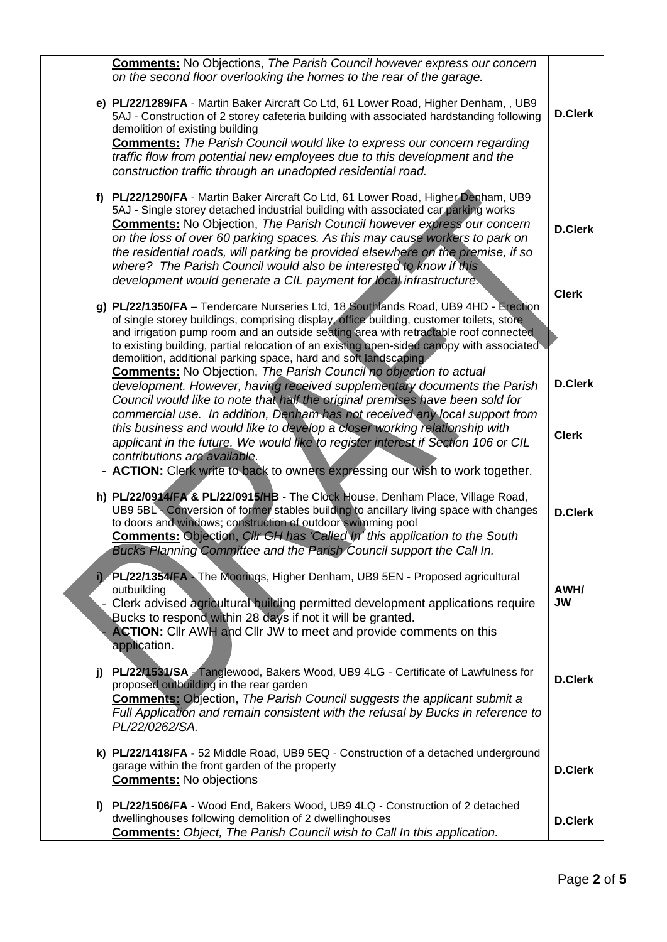|  | <b>Comments:</b> No Objections, The Parish Council however express our concern<br>on the second floor overlooking the homes to the rear of the garage.                                                                                                                                                                                                                                                                                                                                                                                                               |                                |
|--|----------------------------------------------------------------------------------------------------------------------------------------------------------------------------------------------------------------------------------------------------------------------------------------------------------------------------------------------------------------------------------------------------------------------------------------------------------------------------------------------------------------------------------------------------------------------|--------------------------------|
|  | e) PL/22/1289/FA - Martin Baker Aircraft Co Ltd, 61 Lower Road, Higher Denham, , UB9<br>5AJ - Construction of 2 storey cafeteria building with associated hardstanding following<br>demolition of existing building<br><b>Comments:</b> The Parish Council would like to express our concern regarding<br>traffic flow from potential new employees due to this development and the<br>construction traffic through an unadopted residential road.                                                                                                                   | <b>D.Clerk</b>                 |
|  | PL/22/1290/FA - Martin Baker Aircraft Co Ltd, 61 Lower Road, Higher Denham, UB9<br>5AJ - Single storey detached industrial building with associated car parking works<br><b>Comments:</b> No Objection, The Parish Council however express our concern<br>on the loss of over 60 parking spaces. As this may cause workers to park on<br>the residential roads, will parking be provided elsewhere on the premise, if so<br>where? The Parish Council would also be interested to know if this<br>development would generate a CIL payment for local infrastructure. | <b>D.Clerk</b><br><b>Clerk</b> |
|  | g) PL/22/1350/FA - Tendercare Nurseries Ltd, 18 Southlands Road, UB9 4HD - Erection<br>of single storey buildings, comprising display, office building, customer toilets, store<br>and irrigation pump room and an outside seating area with retractable roof connected<br>to existing building, partial relocation of an existing open-sided canopy with associated<br>demolition, additional parking space, hard and soft landscaping                                                                                                                              |                                |
|  | <b>Comments:</b> No Objection, The Parish Council no objection to actual<br>development. However, having received supplementary documents the Parish<br>Council would like to note that half the original premises have been sold for<br>commercial use. In addition, Denham has not received any local support from<br>this business and would like to develop a closer working relationship with                                                                                                                                                                   | <b>D.Clerk</b>                 |
|  | applicant in the future. We would like to register interest if Section 106 or CIL<br>contributions are available.<br>- ACTION: Clerk write to back to owners expressing our wish to work together.                                                                                                                                                                                                                                                                                                                                                                   | <b>Clerk</b>                   |
|  | h) PL/22/0914/FA & PL/22/0915/HB - The Clock House, Denham Place, Village Road,<br>UB9 5BL Conversion of former stables building to ancillary living space with changes<br>to doors and windows; construction of outdoor swimming pool<br><b>Comments: Objection, Cllr GH has 'Called In' this application to the South</b><br>Bucks Planning Committee and the Parish Council support the Call In.                                                                                                                                                                  | <b>D.Clerk</b>                 |
|  | PL/22/1354/FA - The Moorings, Higher Denham, UB9 5EN - Proposed agricultural<br>outbuilding<br>Clerk advised agricultural building permitted development applications require<br>Bucks to respond within 28 days if not it will be granted.<br><b>ACTION:</b> Cllr AWH and Cllr JW to meet and provide comments on this<br>application.                                                                                                                                                                                                                              | AWH/<br><b>JW</b>              |
|  | PL/22/1531/SA Tanglewood, Bakers Wood, UB9 4LG - Certificate of Lawfulness for<br>proposed outbuilding in the rear garden<br><b>Comments:</b> Objection, The Parish Council suggests the applicant submit a<br>Full Application and remain consistent with the refusal by Bucks in reference to<br>PL/22/0262/SA.                                                                                                                                                                                                                                                    | <b>D.Clerk</b>                 |
|  | k) PL/22/1418/FA - 52 Middle Road, UB9 5EQ - Construction of a detached underground<br>garage within the front garden of the property<br><b>Comments:</b> No objections                                                                                                                                                                                                                                                                                                                                                                                              | <b>D.Clerk</b>                 |
|  | PL/22/1506/FA - Wood End, Bakers Wood, UB9 4LQ - Construction of 2 detached<br>dwellinghouses following demolition of 2 dwellinghouses<br><b>Comments:</b> Object, The Parish Council wish to Call In this application.                                                                                                                                                                                                                                                                                                                                              | <b>D.Clerk</b>                 |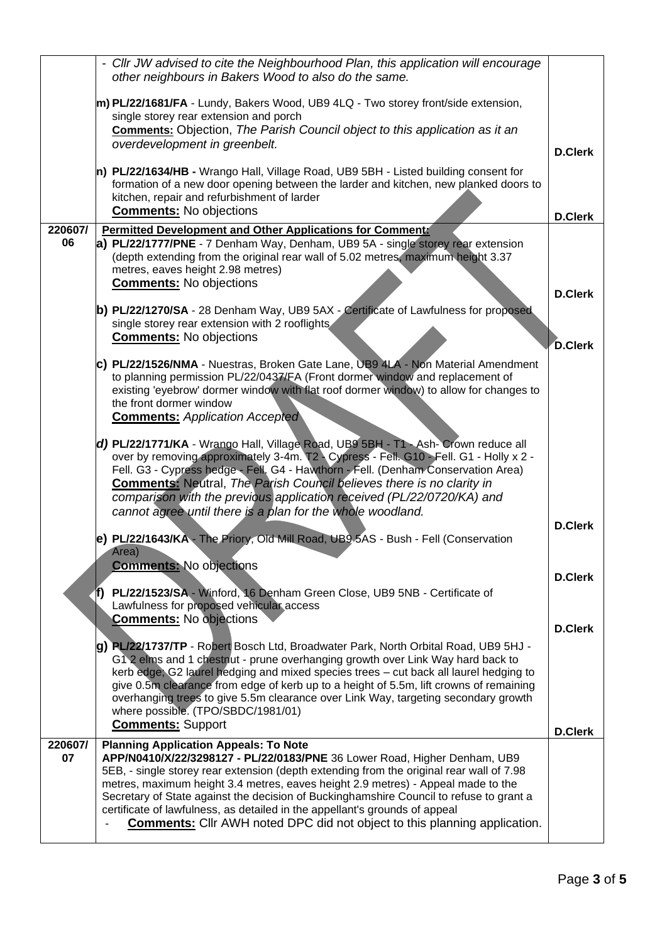|         | - Cllr JW advised to cite the Neighbourhood Plan, this application will encourage<br>other neighbours in Bakers Wood to also do the same.                                                                                                                                                                                                                                                                                                                                                                                                         |                                  |
|---------|---------------------------------------------------------------------------------------------------------------------------------------------------------------------------------------------------------------------------------------------------------------------------------------------------------------------------------------------------------------------------------------------------------------------------------------------------------------------------------------------------------------------------------------------------|----------------------------------|
|         | m) PL/22/1681/FA - Lundy, Bakers Wood, UB9 4LQ - Two storey front/side extension,<br>single storey rear extension and porch                                                                                                                                                                                                                                                                                                                                                                                                                       |                                  |
|         | Comments: Objection, The Parish Council object to this application as it an<br>overdevelopment in greenbelt.                                                                                                                                                                                                                                                                                                                                                                                                                                      | <b>D.Clerk</b>                   |
|         | n) PL/22/1634/HB - Wrango Hall, Village Road, UB9 5BH - Listed building consent for<br>formation of a new door opening between the larder and kitchen, new planked doors to<br>kitchen, repair and refurbishment of larder<br><b>Comments: No objections</b>                                                                                                                                                                                                                                                                                      | <b>D.Clerk</b>                   |
| 220607/ | <b>Permitted Development and Other Applications for Commental</b>                                                                                                                                                                                                                                                                                                                                                                                                                                                                                 |                                  |
| 06      | a) PL/22/1777/PNE - 7 Denham Way, Denham, UB9 5A - single storey rear extension<br>(depth extending from the original rear wall of 5.02 metres, maximum height 3.37<br>metres, eaves height 2.98 metres)<br><b>Comments:</b> No objections                                                                                                                                                                                                                                                                                                        | <b>D.Clerk</b>                   |
|         | b) PL/22/1270/SA - 28 Denham Way, UB9 5AX - Certificate of Lawfulness for proposed<br>single storey rear extension with 2 rooflights<br><b>Comments:</b> No objections                                                                                                                                                                                                                                                                                                                                                                            | <b>D.Clerk</b>                   |
|         | C) PL/22/1526/NMA - Nuestras, Broken Gate Lane, UB9 4LA - Non Material Amendment<br>to planning permission PL/22/0437/FA (Front dormer window and replacement of<br>existing 'eyebrow' dormer window with flat roof dormer window) to allow for changes to<br>the front dormer window<br><b>Comments: Application Accepted</b>                                                                                                                                                                                                                    |                                  |
|         | d) PL/22/1771/KA - Wrango Hall, Village Road, UB9 5BH - T1 - Ash- Crown reduce all<br>over by removing approximately 3-4m. T2 - Cypress - Fell. G10 - Fell. G1 - Holly x 2 -<br>Fell. G3 - Cypress hedge - Fell. G4 - Hawthorn - Fell. (Denham Conservation Area)<br><b>Comments:</b> Neutral, The Parish Council believes there is no clarity in<br>comparison with the previous application received (PL/22/0720/KA) and<br>cannot agree until there is a plan for the whole woodland.                                                          |                                  |
|         | e) PL/22/1643/KA - The Priory, Old Mill Road, UB9 5AS - Bush - Fell (Conservation<br>Area)<br><b>Comments: No objections</b>                                                                                                                                                                                                                                                                                                                                                                                                                      | <b>D.Clerk</b>                   |
|         | PL/22/1523/SA - Winford, 16 Denham Green Close, UB9 5NB - Certificate of<br>Lawfulness for proposed vehicular access                                                                                                                                                                                                                                                                                                                                                                                                                              | <b>D.Clerk</b>                   |
|         | <b>Comments:</b> No objections<br>g) PL/22/1737/TP - Robert Bosch Ltd, Broadwater Park, North Orbital Road, UB9 5HJ -<br>G12 elms and 1 chestnut - prune overhanging growth over Link Way hard back to<br>kerb edge, G2 laurel hedging and mixed species trees - cut back all laurel hedging to<br>give 0.5m clearance from edge of kerb up to a height of 5.5m, lift crowns of remaining<br>overhanging trees to give 5.5m clearance over Link Way, targeting secondary growth<br>where possible. (TPO/SBDC/1981/01)<br><b>Comments: Support</b> | <b>D.Clerk</b><br><b>D.Clerk</b> |
| 220607/ | <b>Planning Application Appeals: To Note</b>                                                                                                                                                                                                                                                                                                                                                                                                                                                                                                      |                                  |
| 07      | APP/N0410/X/22/3298127 - PL/22/0183/PNE 36 Lower Road, Higher Denham, UB9<br>5EB, - single storey rear extension (depth extending from the original rear wall of 7.98<br>metres, maximum height 3.4 metres, eaves height 2.9 metres) - Appeal made to the<br>Secretary of State against the decision of Buckinghamshire Council to refuse to grant a<br>certificate of lawfulness, as detailed in the appellant's grounds of appeal<br><b>Comments:</b> Cllr AWH noted DPC did not object to this planning application.                           |                                  |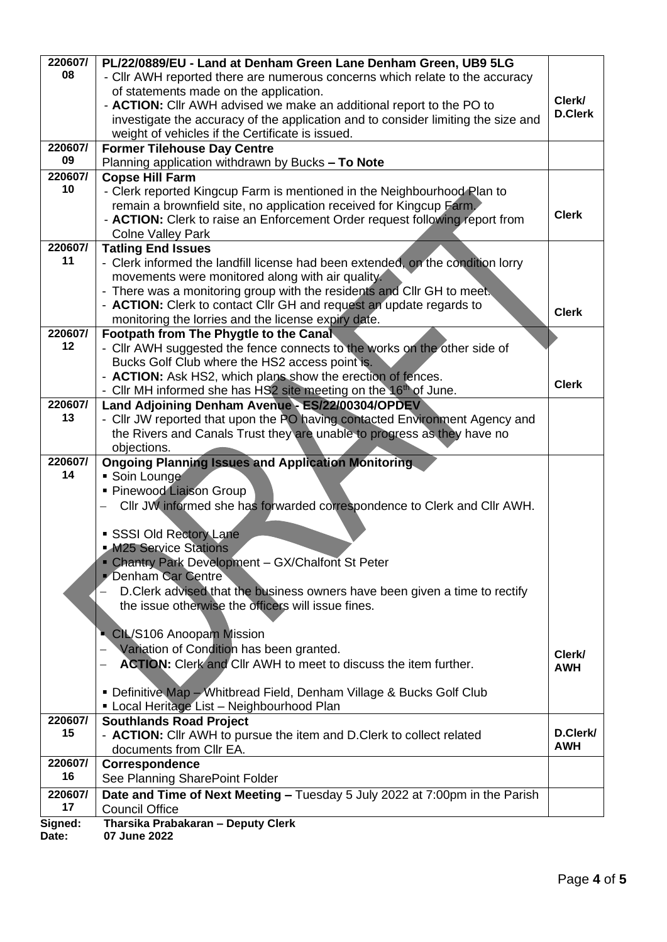| 220607/          | PL/22/0889/EU - Land at Denham Green Lane Denham Green, UB9 5LG                   |                |
|------------------|-----------------------------------------------------------------------------------|----------------|
| 08               | - Cllr AWH reported there are numerous concerns which relate to the accuracy      |                |
|                  | of statements made on the application.                                            |                |
|                  | - ACTION: Cllr AWH advised we make an additional report to the PO to              | Clerk/         |
|                  | investigate the accuracy of the application and to consider limiting the size and | <b>D.Clerk</b> |
|                  | weight of vehicles if the Certificate is issued.                                  |                |
| 220607/          | <b>Former Tilehouse Day Centre</b>                                                |                |
| 09               | Planning application withdrawn by Bucks - To Note                                 |                |
| 220607/          | <b>Copse Hill Farm</b>                                                            |                |
| 10               | - Clerk reported Kingcup Farm is mentioned in the Neighbourhood Plan to           |                |
|                  | remain a brownfield site, no application received for Kingcup Farm.               |                |
|                  | - ACTION: Clerk to raise an Enforcement Order request following report from       | <b>Clerk</b>   |
|                  | <b>Colne Valley Park</b>                                                          |                |
| 220607/          | <b>Tatling End Issues</b>                                                         |                |
| 11               | - Clerk informed the landfill license had been extended, on the condition lorry   |                |
|                  | movements were monitored along with air quality.                                  |                |
|                  | - There was a monitoring group with the residents and Cllr GH to meet.            |                |
|                  | - ACTION: Clerk to contact Cllr GH and request an update regards to               | <b>Clerk</b>   |
|                  | monitoring the lorries and the license expiry date.                               |                |
| 220607/          | Footpath from The Phygtle to the Canal                                            |                |
| 12               | - Cllr AWH suggested the fence connects to the works on the other side of         |                |
|                  | Bucks Golf Club where the HS2 access point is.                                    |                |
|                  | - ACTION: Ask HS2, which plans show the erection of fences.                       | <b>Clerk</b>   |
|                  | - Cllr MH informed she has HS2 site meeting on the 16 <sup>th</sup> of June.      |                |
| 220607/          | Land Adjoining Denham Avenue - ES/22/00304/OPDEV                                  |                |
| 13               | - Cllr JW reported that upon the PO having contacted Environment Agency and       |                |
|                  | the Rivers and Canals Trust they are unable to progress as they have no           |                |
|                  | objections.                                                                       |                |
| 220607/<br>14    | <b>Ongoing Planning Issues and Application Monitoring</b>                         |                |
|                  | • Soin Lounge<br>• Pinewood Liaison Group                                         |                |
|                  | Cllr JW informed she has forwarded correspondence to Clerk and Cllr AWH.          |                |
|                  |                                                                                   |                |
|                  | SSSI Old Rectory Lane                                                             |                |
|                  | M25 Service Stations                                                              |                |
|                  | - Chantry Park Development - GX/Chalfont St Peter                                 |                |
|                  | Denham Car Centre                                                                 |                |
|                  | D. Clerk advised that the business owners have been given a time to rectify       |                |
|                  | the issue otherwise the officers will issue fines.                                |                |
|                  |                                                                                   |                |
|                  | CIL/S106 Anoopam Mission                                                          |                |
|                  | Variation of Condition has been granted.                                          |                |
|                  | <b>ACTION:</b> Clerk and Cllr AWH to meet to discuss the item further.<br>—       | Clerk/         |
|                  |                                                                                   | <b>AWH</b>     |
|                  | • Definitive Map - Whitbread Field, Denham Village & Bucks Golf Club              |                |
|                  | Local Heritage List - Neighbourhood Plan                                          |                |
| 220607/          | <b>Southlands Road Project</b>                                                    |                |
| 15               | - ACTION: Cllr AWH to pursue the item and D.Clerk to collect related              | D.Clerk/       |
|                  | documents from CIIr EA.                                                           | AWH            |
| 220607/          | Correspondence                                                                    |                |
| 16               | See Planning SharePoint Folder                                                    |                |
| 220607/          | Date and Time of Next Meeting - Tuesday 5 July 2022 at 7:00pm in the Parish       |                |
| 17               | <b>Council Office</b>                                                             |                |
|                  |                                                                                   |                |
| Signed:<br>Date: | Tharsika Prabakaran - Deputy Clerk<br>07 June 2022                                |                |